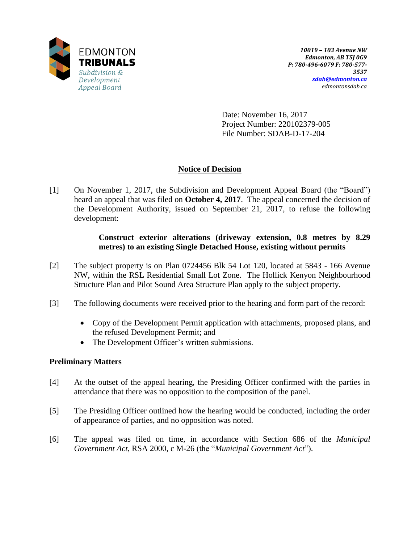

Date: November 16, 2017 Project Number: 220102379-005 File Number: SDAB-D-17-204

# **Notice of Decision**

[1] On November 1, 2017, the Subdivision and Development Appeal Board (the "Board") heard an appeal that was filed on **October 4, 2017**. The appeal concerned the decision of the Development Authority, issued on September 21, 2017, to refuse the following development:

## **Construct exterior alterations (driveway extension, 0.8 metres by 8.29 metres) to an existing Single Detached House, existing without permits**

- [2] The subject property is on Plan 0724456 Blk 54 Lot 120, located at 5843 166 Avenue NW, within the RSL Residential Small Lot Zone. The Hollick Kenyon Neighbourhood Structure Plan and Pilot Sound Area Structure Plan apply to the subject property.
- [3] The following documents were received prior to the hearing and form part of the record:
	- Copy of the Development Permit application with attachments, proposed plans, and the refused Development Permit; and
	- The Development Officer's written submissions.

# **Preliminary Matters**

- [4] At the outset of the appeal hearing, the Presiding Officer confirmed with the parties in attendance that there was no opposition to the composition of the panel.
- [5] The Presiding Officer outlined how the hearing would be conducted, including the order of appearance of parties, and no opposition was noted.
- [6] The appeal was filed on time, in accordance with Section 686 of the *Municipal Government Act*, RSA 2000, c M-26 (the "*Municipal Government Act*").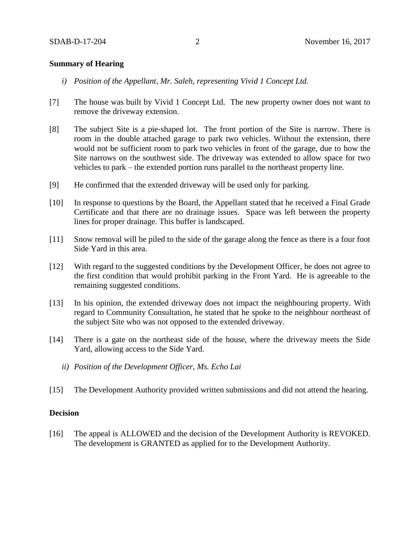### **Summary of Hearing**

- *i) Position of the Appellant, Mr. Saleh, representing Vivid 1 Concept Ltd.*
- [7] The house was built by Vivid 1 Concept Ltd. The new property owner does not want to remove the driveway extension.
- [8] The subject Site is a pie-shaped lot. The front portion of the Site is narrow. There is room in the double attached garage to park two vehicles. Without the extension, there would not be sufficient room to park two vehicles in front of the garage, due to how the Site narrows on the southwest side. The driveway was extended to allow space for two vehicles to park – the extended portion runs parallel to the northeast property line.
- [9] He confirmed that the extended driveway will be used only for parking.
- [10] In response to questions by the Board, the Appellant stated that he received a Final Grade Certificate and that there are no drainage issues. Space was left between the property lines for proper drainage. This buffer is landscaped.
- [11] Snow removal will be piled to the side of the garage along the fence as there is a four foot Side Yard in this area.
- [12] With regard to the suggested conditions by the Development Officer, he does not agree to the first condition that would prohibit parking in the Front Yard. He is agreeable to the remaining suggested conditions.
- [13] In his opinion, the extended driveway does not impact the neighbouring property. With regard to Community Consultation, he stated that he spoke to the neighbour northeast of the subject Site who was not opposed to the extended driveway.
- [14] There is a gate on the northeast side of the house, where the driveway meets the Side Yard, allowing access to the Side Yard.
	- *ii) Position of the Development Officer, Ms. Echo Lai*
- [15] The Development Authority provided written submissions and did not attend the hearing.

### **Decision**

[16] The appeal is ALLOWED and the decision of the Development Authority is REVOKED. The development is GRANTED as applied for to the Development Authority.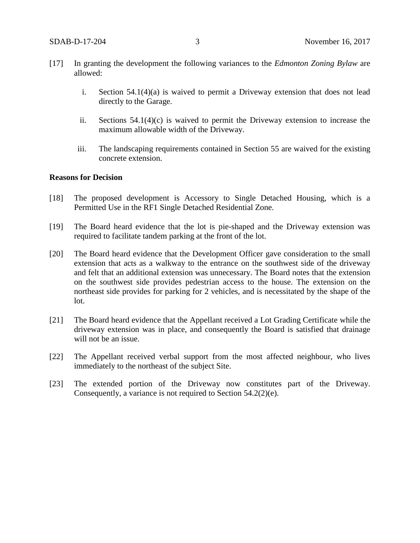- [17] In granting the development the following variances to the *Edmonton Zoning Bylaw* are allowed:
	- i. Section 54.1(4)(a) is waived to permit a Driveway extension that does not lead directly to the Garage.
	- ii. Sections 54.1(4)(c) is waived to permit the Driveway extension to increase the maximum allowable width of the Driveway.
	- iii. The landscaping requirements contained in Section 55 are waived for the existing concrete extension.

### **Reasons for Decision**

- [18] The proposed development is Accessory to Single Detached Housing, which is a Permitted Use in the RF1 Single Detached Residential Zone.
- [19] The Board heard evidence that the lot is pie-shaped and the Driveway extension was required to facilitate tandem parking at the front of the lot.
- [20] The Board heard evidence that the Development Officer gave consideration to the small extension that acts as a walkway to the entrance on the southwest side of the driveway and felt that an additional extension was unnecessary. The Board notes that the extension on the southwest side provides pedestrian access to the house. The extension on the northeast side provides for parking for 2 vehicles, and is necessitated by the shape of the lot.
- [21] The Board heard evidence that the Appellant received a Lot Grading Certificate while the driveway extension was in place, and consequently the Board is satisfied that drainage will not be an issue.
- [22] The Appellant received verbal support from the most affected neighbour, who lives immediately to the northeast of the subject Site.
- [23] The extended portion of the Driveway now constitutes part of the Driveway. Consequently, a variance is not required to Section 54.2(2)(e).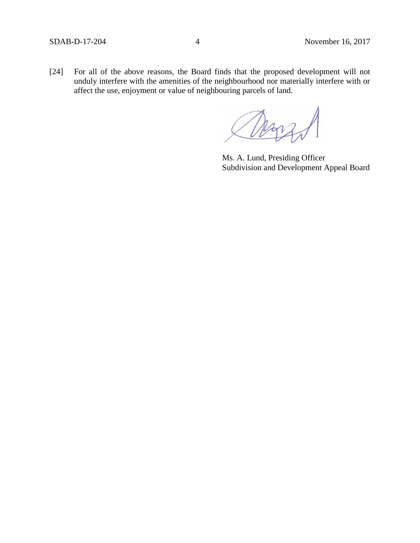[24] For all of the above reasons, the Board finds that the proposed development will not unduly interfere with the amenities of the neighbourhood nor materially interfere with or affect the use, enjoyment or value of neighbouring parcels of land.

Ms. A. Lund, Presiding Officer Subdivision and Development Appeal Board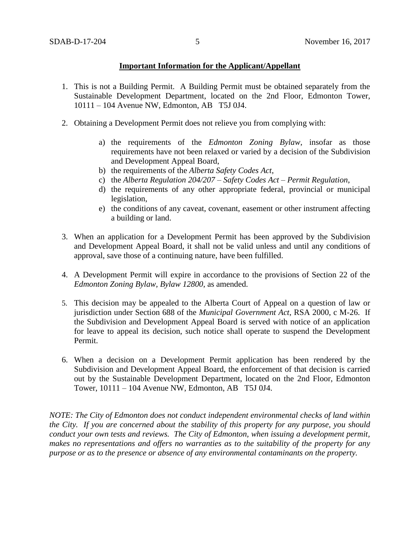### **Important Information for the Applicant/Appellant**

- 1. This is not a Building Permit. A Building Permit must be obtained separately from the Sustainable Development Department, located on the 2nd Floor, Edmonton Tower, 10111 – 104 Avenue NW, Edmonton, AB T5J 0J4.
- 2. Obtaining a Development Permit does not relieve you from complying with:
	- a) the requirements of the *Edmonton Zoning Bylaw*, insofar as those requirements have not been relaxed or varied by a decision of the Subdivision and Development Appeal Board,
	- b) the requirements of the *Alberta Safety Codes Act*,
	- c) the *Alberta Regulation 204/207 – Safety Codes Act – Permit Regulation*,
	- d) the requirements of any other appropriate federal, provincial or municipal legislation,
	- e) the conditions of any caveat, covenant, easement or other instrument affecting a building or land.
- 3. When an application for a Development Permit has been approved by the Subdivision and Development Appeal Board, it shall not be valid unless and until any conditions of approval, save those of a continuing nature, have been fulfilled.
- 4. A Development Permit will expire in accordance to the provisions of Section 22 of the *Edmonton Zoning Bylaw, Bylaw 12800*, as amended.
- 5. This decision may be appealed to the Alberta Court of Appeal on a question of law or jurisdiction under Section 688 of the *Municipal Government Act*, RSA 2000, c M-26. If the Subdivision and Development Appeal Board is served with notice of an application for leave to appeal its decision, such notice shall operate to suspend the Development Permit.
- 6. When a decision on a Development Permit application has been rendered by the Subdivision and Development Appeal Board, the enforcement of that decision is carried out by the Sustainable Development Department, located on the 2nd Floor, Edmonton Tower, 10111 – 104 Avenue NW, Edmonton, AB T5J 0J4.

*NOTE: The City of Edmonton does not conduct independent environmental checks of land within the City. If you are concerned about the stability of this property for any purpose, you should conduct your own tests and reviews. The City of Edmonton, when issuing a development permit, makes no representations and offers no warranties as to the suitability of the property for any purpose or as to the presence or absence of any environmental contaminants on the property.*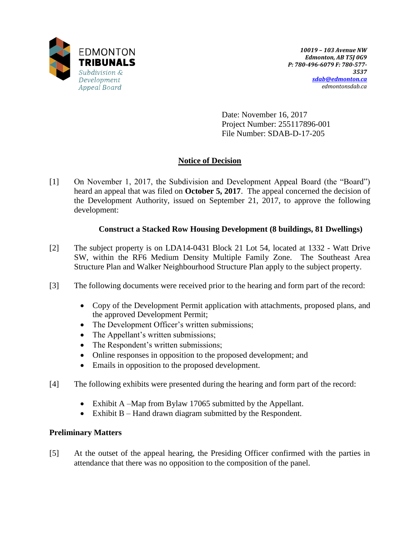

Date: November 16, 2017 Project Number: 255117896-001 File Number: SDAB-D-17-205

# **Notice of Decision**

[1] On November 1, 2017, the Subdivision and Development Appeal Board (the "Board") heard an appeal that was filed on **October 5, 2017**. The appeal concerned the decision of the Development Authority, issued on September 21, 2017, to approve the following development:

# **Construct a Stacked Row Housing Development (8 buildings, 81 Dwellings)**

- [2] The subject property is on LDA14-0431 Block 21 Lot 54, located at 1332 Watt Drive SW, within the RF6 Medium Density Multiple Family Zone. The Southeast Area Structure Plan and Walker Neighbourhood Structure Plan apply to the subject property.
- [3] The following documents were received prior to the hearing and form part of the record:
	- Copy of the Development Permit application with attachments, proposed plans, and the approved Development Permit;
	- The Development Officer's written submissions;
	- The Appellant's written submissions;
	- The Respondent's written submissions;
	- Online responses in opposition to the proposed development; and
	- Emails in opposition to the proposed development.
- [4] The following exhibits were presented during the hearing and form part of the record:
	- Exhibit A –Map from Bylaw 17065 submitted by the Appellant.
	- Exhibit B Hand drawn diagram submitted by the Respondent.

# **Preliminary Matters**

[5] At the outset of the appeal hearing, the Presiding Officer confirmed with the parties in attendance that there was no opposition to the composition of the panel.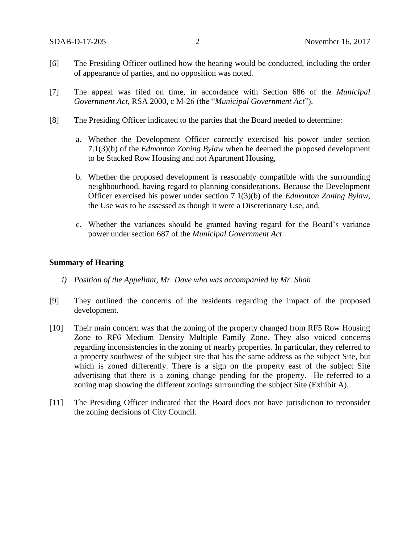- [6] The Presiding Officer outlined how the hearing would be conducted, including the order of appearance of parties, and no opposition was noted.
- [7] The appeal was filed on time, in accordance with Section 686 of the *Municipal Government Act*, RSA 2000, c M-26 (the "*Municipal Government Act*").
- [8] The Presiding Officer indicated to the parties that the Board needed to determine:
	- a. Whether the Development Officer correctly exercised his power under section 7.1(3)(b) of the *Edmonton Zoning Bylaw* when he deemed the proposed development to be Stacked Row Housing and not Apartment Housing,
	- b. Whether the proposed development is reasonably compatible with the surrounding neighbourhood, having regard to planning considerations. Because the Development Officer exercised his power under section 7.1(3)(b) of the *Edmonton Zoning Bylaw,*  the Use was to be assessed as though it were a Discretionary Use, and,
	- c. Whether the variances should be granted having regard for the Board's variance power under section 687 of the *Municipal Government Act*.

### **Summary of Hearing**

- *i) Position of the Appellant, Mr. Dave who was accompanied by Mr. Shah*
- [9] They outlined the concerns of the residents regarding the impact of the proposed development.
- [10] Their main concern was that the zoning of the property changed from RF5 Row Housing Zone to RF6 Medium Density Multiple Family Zone. They also voiced concerns regarding inconsistencies in the zoning of nearby properties. In particular, they referred to a property southwest of the subject site that has the same address as the subject Site, but which is zoned differently. There is a sign on the property east of the subject Site advertising that there is a zoning change pending for the property. He referred to a zoning map showing the different zonings surrounding the subject Site (Exhibit A).
- [11] The Presiding Officer indicated that the Board does not have jurisdiction to reconsider the zoning decisions of City Council.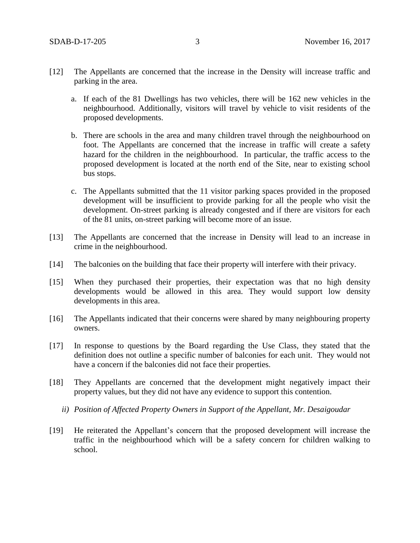- [12] The Appellants are concerned that the increase in the Density will increase traffic and parking in the area.
	- a. If each of the 81 Dwellings has two vehicles, there will be 162 new vehicles in the neighbourhood. Additionally, visitors will travel by vehicle to visit residents of the proposed developments.
	- b. There are schools in the area and many children travel through the neighbourhood on foot. The Appellants are concerned that the increase in traffic will create a safety hazard for the children in the neighbourhood. In particular, the traffic access to the proposed development is located at the north end of the Site, near to existing school bus stops.
	- c. The Appellants submitted that the 11 visitor parking spaces provided in the proposed development will be insufficient to provide parking for all the people who visit the development. On-street parking is already congested and if there are visitors for each of the 81 units, on-street parking will become more of an issue.
- [13] The Appellants are concerned that the increase in Density will lead to an increase in crime in the neighbourhood.
- [14] The balconies on the building that face their property will interfere with their privacy.
- [15] When they purchased their properties, their expectation was that no high density developments would be allowed in this area. They would support low density developments in this area.
- [16] The Appellants indicated that their concerns were shared by many neighbouring property owners.
- [17] In response to questions by the Board regarding the Use Class, they stated that the definition does not outline a specific number of balconies for each unit. They would not have a concern if the balconies did not face their properties.
- [18] They Appellants are concerned that the development might negatively impact their property values, but they did not have any evidence to support this contention.
	- *ii) Position of Affected Property Owners in Support of the Appellant, Mr. Desaigoudar*
- [19] He reiterated the Appellant's concern that the proposed development will increase the traffic in the neighbourhood which will be a safety concern for children walking to school.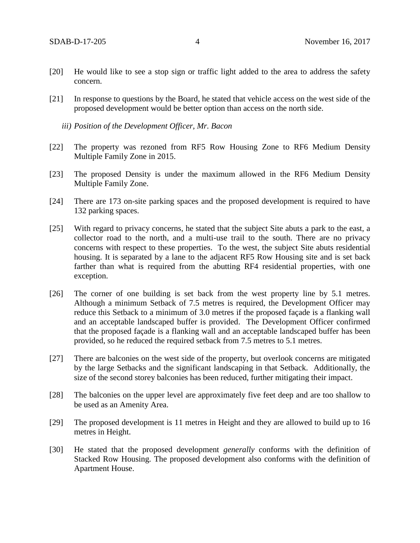- [20] He would like to see a stop sign or traffic light added to the area to address the safety concern.
- [21] In response to questions by the Board, he stated that vehicle access on the west side of the proposed development would be better option than access on the north side.
	- *iii) Position of the Development Officer, Mr. Bacon*
- [22] The property was rezoned from RF5 Row Housing Zone to RF6 Medium Density Multiple Family Zone in 2015.
- [23] The proposed Density is under the maximum allowed in the RF6 Medium Density Multiple Family Zone.
- [24] There are 173 on-site parking spaces and the proposed development is required to have 132 parking spaces.
- [25] With regard to privacy concerns, he stated that the subject Site abuts a park to the east, a collector road to the north, and a multi-use trail to the south. There are no privacy concerns with respect to these properties. To the west, the subject Site abuts residential housing. It is separated by a lane to the adjacent RF5 Row Housing site and is set back farther than what is required from the abutting RF4 residential properties, with one exception.
- [26] The corner of one building is set back from the west property line by 5.1 metres. Although a minimum Setback of 7.5 metres is required, the Development Officer may reduce this Setback to a minimum of 3.0 metres if the proposed façade is a flanking wall and an acceptable landscaped buffer is provided. The Development Officer confirmed that the proposed façade is a flanking wall and an acceptable landscaped buffer has been provided, so he reduced the required setback from 7.5 metres to 5.1 metres.
- [27] There are balconies on the west side of the property, but overlook concerns are mitigated by the large Setbacks and the significant landscaping in that Setback. Additionally, the size of the second storey balconies has been reduced, further mitigating their impact.
- [28] The balconies on the upper level are approximately five feet deep and are too shallow to be used as an Amenity Area.
- [29] The proposed development is 11 metres in Height and they are allowed to build up to 16 metres in Height.
- [30] He stated that the proposed development *generally* conforms with the definition of Stacked Row Housing. The proposed development also conforms with the definition of Apartment House.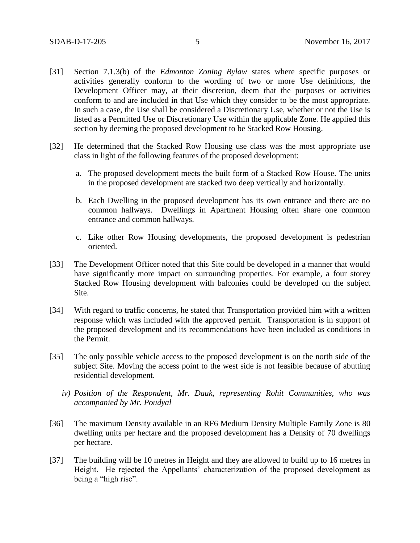- [31] Section 7.1.3(b) of the *Edmonton Zoning Bylaw* states where specific purposes or activities generally conform to the wording of two or more Use definitions, the Development Officer may, at their discretion, deem that the purposes or activities conform to and are included in that Use which they consider to be the most appropriate. In such a case, the Use shall be considered a Discretionary Use, whether or not the Use is listed as a Permitted Use or Discretionary Use within the applicable Zone. He applied this section by deeming the proposed development to be Stacked Row Housing.
- [32] He determined that the Stacked Row Housing use class was the most appropriate use class in light of the following features of the proposed development:
	- a. The proposed development meets the built form of a Stacked Row House. The units in the proposed development are stacked two deep vertically and horizontally.
	- b. Each Dwelling in the proposed development has its own entrance and there are no common hallways. Dwellings in Apartment Housing often share one common entrance and common hallways.
	- c. Like other Row Housing developments, the proposed development is pedestrian oriented.
- [33] The Development Officer noted that this Site could be developed in a manner that would have significantly more impact on surrounding properties. For example, a four storey Stacked Row Housing development with balconies could be developed on the subject Site.
- [34] With regard to traffic concerns, he stated that Transportation provided him with a written response which was included with the approved permit. Transportation is in support of the proposed development and its recommendations have been included as conditions in the Permit.
- [35] The only possible vehicle access to the proposed development is on the north side of the subject Site. Moving the access point to the west side is not feasible because of abutting residential development.
	- *iv) Position of the Respondent, Mr. Dauk, representing Rohit Communities, who was accompanied by Mr. Poudyal*
- [36] The maximum Density available in an RF6 Medium Density Multiple Family Zone is 80 dwelling units per hectare and the proposed development has a Density of 70 dwellings per hectare.
- [37] The building will be 10 metres in Height and they are allowed to build up to 16 metres in Height. He rejected the Appellants' characterization of the proposed development as being a "high rise".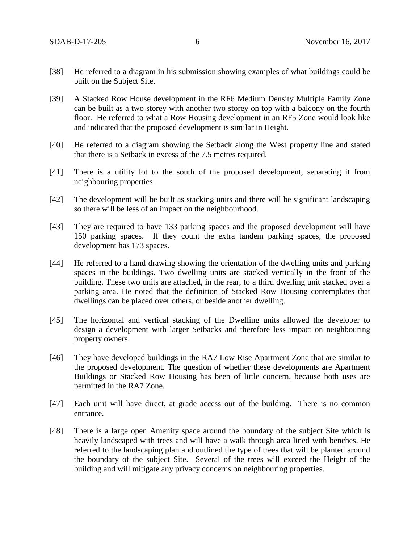- [38] He referred to a diagram in his submission showing examples of what buildings could be built on the Subject Site.
- [39] A Stacked Row House development in the RF6 Medium Density Multiple Family Zone can be built as a two storey with another two storey on top with a balcony on the fourth floor. He referred to what a Row Housing development in an RF5 Zone would look like and indicated that the proposed development is similar in Height.
- [40] He referred to a diagram showing the Setback along the West property line and stated that there is a Setback in excess of the 7.5 metres required.
- [41] There is a utility lot to the south of the proposed development, separating it from neighbouring properties.
- [42] The development will be built as stacking units and there will be significant landscaping so there will be less of an impact on the neighbourhood.
- [43] They are required to have 133 parking spaces and the proposed development will have 150 parking spaces. If they count the extra tandem parking spaces, the proposed development has 173 spaces.
- [44] He referred to a hand drawing showing the orientation of the dwelling units and parking spaces in the buildings. Two dwelling units are stacked vertically in the front of the building. These two units are attached, in the rear, to a third dwelling unit stacked over a parking area. He noted that the definition of Stacked Row Housing contemplates that dwellings can be placed over others, or beside another dwelling.
- [45] The horizontal and vertical stacking of the Dwelling units allowed the developer to design a development with larger Setbacks and therefore less impact on neighbouring property owners.
- [46] They have developed buildings in the RA7 Low Rise Apartment Zone that are similar to the proposed development. The question of whether these developments are Apartment Buildings or Stacked Row Housing has been of little concern, because both uses are permitted in the RA7 Zone.
- [47] Each unit will have direct, at grade access out of the building. There is no common entrance.
- [48] There is a large open Amenity space around the boundary of the subject Site which is heavily landscaped with trees and will have a walk through area lined with benches. He referred to the landscaping plan and outlined the type of trees that will be planted around the boundary of the subject Site. Several of the trees will exceed the Height of the building and will mitigate any privacy concerns on neighbouring properties.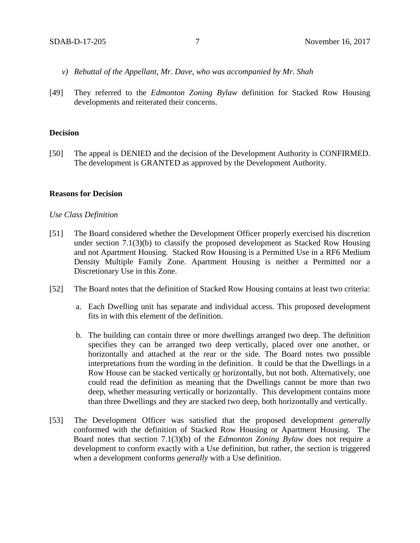- *v) Rebuttal of the Appellant, Mr. Dave, who was accompanied by Mr. Shah*
- [49] They referred to the *Edmonton Zoning Bylaw* definition for Stacked Row Housing developments and reiterated their concerns.

### **Decision**

[50] The appeal is DENIED and the decision of the Development Authority is CONFIRMED. The development is GRANTED as approved by the Development Authority.

### **Reasons for Decision**

### *Use Class Definition*

- [51] The Board considered whether the Development Officer properly exercised his discretion under section 7.1(3)(b) to classify the proposed development as Stacked Row Housing and not Apartment Housing. Stacked Row Housing is a Permitted Use in a RF6 Medium Density Multiple Family Zone. Apartment Housing is neither a Permitted nor a Discretionary Use in this Zone.
- [52] The Board notes that the definition of Stacked Row Housing contains at least two criteria:
	- a. Each Dwelling unit has separate and individual access. This proposed development fits in with this element of the definition.
	- b. The building can contain three or more dwellings arranged two deep. The definition specifies they can be arranged two deep vertically, placed over one another, or horizontally and attached at the rear or the side. The Board notes two possible interpretations from the wording in the definition. It could be that the Dwellings in a Row House can be stacked vertically or horizontally, but not both. Alternatively, one could read the definition as meaning that the Dwellings cannot be more than two deep, whether measuring vertically or horizontally. This development contains more than three Dwellings and they are stacked two deep, both horizontally and vertically.
- [53] The Development Officer was satisfied that the proposed development *generally* conformed with the definition of Stacked Row Housing or Apartment Housing. The Board notes that section 7.1(3)(b) of the *Edmonton Zoning Bylaw* does not require a development to conform exactly with a Use definition, but rather, the section is triggered when a development conforms *generally* with a Use definition.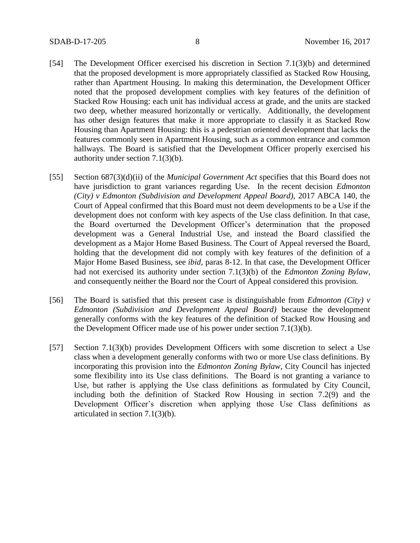- [54] The Development Officer exercised his discretion in Section 7.1(3)(b) and determined that the proposed development is more appropriately classified as Stacked Row Housing, rather than Apartment Housing. In making this determination, the Development Officer noted that the proposed development complies with key features of the definition of Stacked Row Housing: each unit has individual access at grade, and the units are stacked two deep, whether measured horizontally or vertically. Additionally, the development has other design features that make it more appropriate to classify it as Stacked Row Housing than Apartment Housing: this is a pedestrian oriented development that lacks the features commonly seen in Apartment Housing, such as a common entrance and common hallways. The Board is satisfied that the Development Officer properly exercised his authority under section 7.1(3)(b).
- [55] Section 687(3)(d)(ii) of the *Municipal Government Act* specifies that this Board does not have jurisdiction to grant variances regarding Use. In the recent decision *Edmonton (City) v Edmonton (Subdivision and Development Appeal Board),* 2017 ABCA 140, the Court of Appeal confirmed that this Board must not deem developments to be a Use if the development does not conform with key aspects of the Use class definition. In that case, the Board overturned the Development Officer's determination that the proposed development was a General Industrial Use, and instead the Board classified the development as a Major Home Based Business. The Court of Appeal reversed the Board, holding that the development did not comply with key features of the definition of a Major Home Based Business, see *ibid,* paras 8-12. In that case, the Development Officer had not exercised its authority under section 7.1(3)(b) of the *Edmonton Zoning Bylaw,*  and consequently neither the Board nor the Court of Appeal considered this provision.
- [56] The Board is satisfied that this present case is distinguishable from *Edmonton (City) v Edmonton (Subdivision and Development Appeal Board)* because the development generally conforms with the key features of the definition of Stacked Row Housing and the Development Officer made use of his power under section 7.1(3)(b).
- [57] Section 7.1(3)(b) provides Development Officers with some discretion to select a Use class when a development generally conforms with two or more Use class definitions. By incorporating this provision into the *Edmonton Zoning Bylaw*, City Council has injected some flexibility into its Use class definitions. The Board is not granting a variance to Use, but rather is applying the Use class definitions as formulated by City Council, including both the definition of Stacked Row Housing in section 7.2(9) and the Development Officer's discretion when applying those Use Class definitions as articulated in section 7.1(3)(b).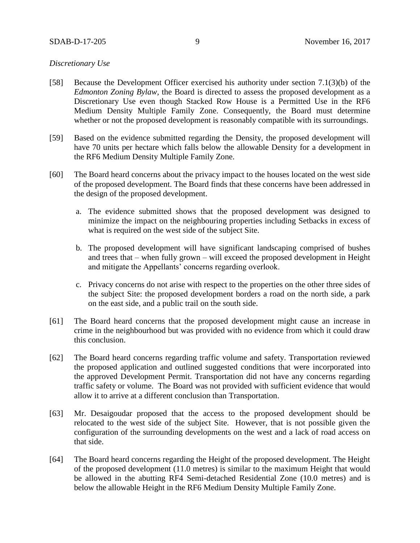### SDAB-D-17-205 9 November 16, 2017

### *Discretionary Use*

- [58] Because the Development Officer exercised his authority under section 7.1(3)(b) of the *Edmonton Zoning Bylaw,* the Board is directed to assess the proposed development as a Discretionary Use even though Stacked Row House is a Permitted Use in the RF6 Medium Density Multiple Family Zone. Consequently, the Board must determine whether or not the proposed development is reasonably compatible with its surroundings.
- [59] Based on the evidence submitted regarding the Density, the proposed development will have 70 units per hectare which falls below the allowable Density for a development in the RF6 Medium Density Multiple Family Zone.
- [60] The Board heard concerns about the privacy impact to the houses located on the west side of the proposed development. The Board finds that these concerns have been addressed in the design of the proposed development.
	- a. The evidence submitted shows that the proposed development was designed to minimize the impact on the neighbouring properties including Setbacks in excess of what is required on the west side of the subject Site.
	- b. The proposed development will have significant landscaping comprised of bushes and trees that – when fully grown – will exceed the proposed development in Height and mitigate the Appellants' concerns regarding overlook.
	- c. Privacy concerns do not arise with respect to the properties on the other three sides of the subject Site: the proposed development borders a road on the north side, a park on the east side, and a public trail on the south side.
- [61] The Board heard concerns that the proposed development might cause an increase in crime in the neighbourhood but was provided with no evidence from which it could draw this conclusion.
- [62] The Board heard concerns regarding traffic volume and safety. Transportation reviewed the proposed application and outlined suggested conditions that were incorporated into the approved Development Permit. Transportation did not have any concerns regarding traffic safety or volume. The Board was not provided with sufficient evidence that would allow it to arrive at a different conclusion than Transportation.
- [63] Mr. Desaigoudar proposed that the access to the proposed development should be relocated to the west side of the subject Site. However, that is not possible given the configuration of the surrounding developments on the west and a lack of road access on that side.
- [64] The Board heard concerns regarding the Height of the proposed development. The Height of the proposed development (11.0 metres) is similar to the maximum Height that would be allowed in the abutting RF4 Semi-detached Residential Zone (10.0 metres) and is below the allowable Height in the RF6 Medium Density Multiple Family Zone.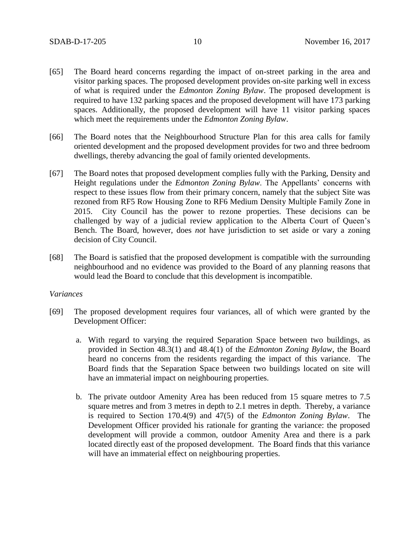- [65] The Board heard concerns regarding the impact of on-street parking in the area and visitor parking spaces. The proposed development provides on-site parking well in excess of what is required under the *Edmonton Zoning Bylaw*. The proposed development is required to have 132 parking spaces and the proposed development will have 173 parking spaces. Additionally, the proposed development will have 11 visitor parking spaces which meet the requirements under the *Edmonton Zoning Bylaw*.
- [66] The Board notes that the Neighbourhood Structure Plan for this area calls for family oriented development and the proposed development provides for two and three bedroom dwellings, thereby advancing the goal of family oriented developments.
- [67] The Board notes that proposed development complies fully with the Parking, Density and Height regulations under the *Edmonton Zoning Bylaw*. The Appellants' concerns with respect to these issues flow from their primary concern, namely that the subject Site was rezoned from RF5 Row Housing Zone to RF6 Medium Density Multiple Family Zone in 2015. City Council has the power to rezone properties. These decisions can be challenged by way of a judicial review application to the Alberta Court of Queen's Bench. The Board, however, does *not* have jurisdiction to set aside or vary a zoning decision of City Council.
- [68] The Board is satisfied that the proposed development is compatible with the surrounding neighbourhood and no evidence was provided to the Board of any planning reasons that would lead the Board to conclude that this development is incompatible.

### *Variances*

- [69] The proposed development requires four variances, all of which were granted by the Development Officer:
	- a. With regard to varying the required Separation Space between two buildings, as provided in Section 48.3(1) and 48.4(1) of the *Edmonton Zoning Bylaw*, the Board heard no concerns from the residents regarding the impact of this variance. The Board finds that the Separation Space between two buildings located on site will have an immaterial impact on neighbouring properties.
	- b. The private outdoor Amenity Area has been reduced from 15 square metres to 7.5 square metres and from 3 metres in depth to 2.1 metres in depth. Thereby, a variance is required to Section 170.4(9) and 47(5) of the *Edmonton Zoning Bylaw*. The Development Officer provided his rationale for granting the variance: the proposed development will provide a common, outdoor Amenity Area and there is a park located directly east of the proposed development. The Board finds that this variance will have an immaterial effect on neighbouring properties.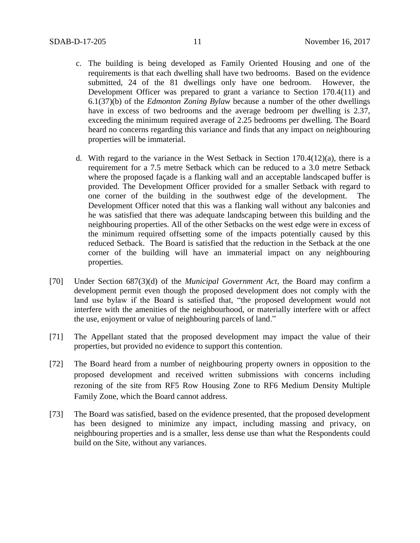- c. The building is being developed as Family Oriented Housing and one of the requirements is that each dwelling shall have two bedrooms. Based on the evidence submitted, 24 of the 81 dwellings only have one bedroom. However, the Development Officer was prepared to grant a variance to Section 170.4(11) and 6.1(37)(b) of the *Edmonton Zoning Bylaw* because a number of the other dwellings have in excess of two bedrooms and the average bedroom per dwelling is 2.37, exceeding the minimum required average of 2.25 bedrooms per dwelling. The Board heard no concerns regarding this variance and finds that any impact on neighbouring properties will be immaterial.
- d. With regard to the variance in the West Setback in Section  $170.4(12)(a)$ , there is a requirement for a 7.5 metre Setback which can be reduced to a 3.0 metre Setback where the proposed façade is a flanking wall and an acceptable landscaped buffer is provided. The Development Officer provided for a smaller Setback with regard to one corner of the building in the southwest edge of the development. The Development Officer noted that this was a flanking wall without any balconies and he was satisfied that there was adequate landscaping between this building and the neighbouring properties. All of the other Setbacks on the west edge were in excess of the minimum required offsetting some of the impacts potentially caused by this reduced Setback. The Board is satisfied that the reduction in the Setback at the one corner of the building will have an immaterial impact on any neighbouring properties.
- [70] Under Section 687(3)(d) of the *Municipal Government Act*, the Board may confirm a development permit even though the proposed development does not comply with the land use bylaw if the Board is satisfied that, "the proposed development would not interfere with the amenities of the neighbourhood, or materially interfere with or affect the use, enjoyment or value of neighbouring parcels of land."
- [71] The Appellant stated that the proposed development may impact the value of their properties, but provided no evidence to support this contention.
- [72] The Board heard from a number of neighbouring property owners in opposition to the proposed development and received written submissions with concerns including rezoning of the site from RF5 Row Housing Zone to RF6 Medium Density Multiple Family Zone, which the Board cannot address.
- [73] The Board was satisfied, based on the evidence presented, that the proposed development has been designed to minimize any impact, including massing and privacy, on neighbouring properties and is a smaller, less dense use than what the Respondents could build on the Site, without any variances.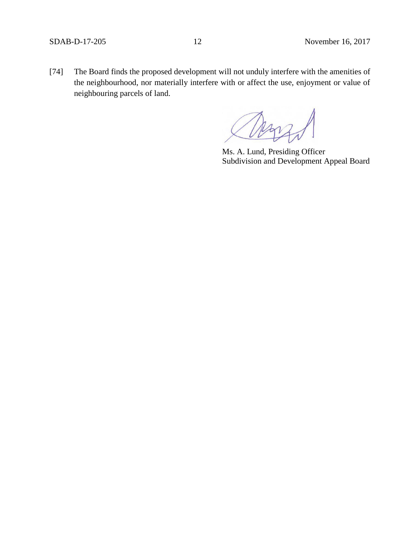[74] The Board finds the proposed development will not unduly interfere with the amenities of the neighbourhood, nor materially interfere with or affect the use, enjoyment or value of neighbouring parcels of land.

Ms. A. Lund, Presiding Officer Subdivision and Development Appeal Board